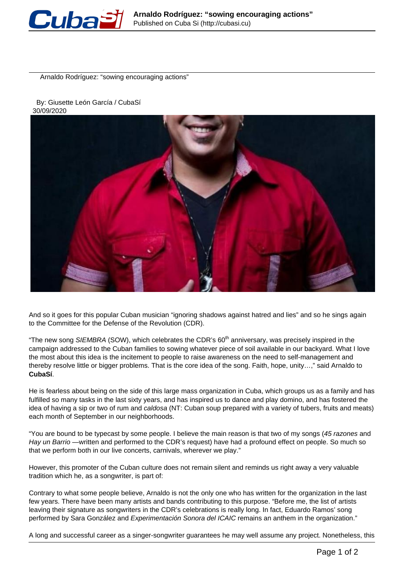

Arnaldo Rodríguez: "sowing encouraging actions"

## By: Giusette León García / CubaSí 30/09/2020



And so it goes for this popular Cuban musician "ignoring shadows against hatred and lies" and so he sings again to the Committee for the Defense of the Revolution (CDR).

"The new song SIEMBRA (SOW), which celebrates the CDR's  $60<sup>th</sup>$  anniversary, was precisely inspired in the campaign addressed to the Cuban families to sowing whatever piece of soil available in our backyard. What I love the most about this idea is the incitement to people to raise awareness on the need to self-management and thereby resolve little or bigger problems. That is the core idea of the song. Faith, hope, unity…," said Arnaldo to **CubaSí**.

He is fearless about being on the side of this large mass organization in Cuba, which groups us as a family and has fulfilled so many tasks in the last sixty years, and has inspired us to dance and play domino, and has fostered the idea of having a sip or two of rum and caldosa (NT: Cuban soup prepared with a variety of tubers, fruits and meats) each month of September in our neighborhoods.

"You are bound to be typecast by some people. I believe the main reason is that two of my songs (45 razones and Hay un Barrio —written and performed to the CDR's request) have had a profound effect on people. So much so that we perform both in our live concerts, carnivals, wherever we play."

However, this promoter of the Cuban culture does not remain silent and reminds us right away a very valuable tradition which he, as a songwriter, is part of:

Contrary to what some people believe, Arnaldo is not the only one who has written for the organization in the last few years. There have been many artists and bands contributing to this purpose. "Before me, the list of artists leaving their signature as songwriters in the CDR's celebrations is really long. In fact, Eduardo Ramos' song performed by Sara González and Experimentación Sonora del ICAIC remains an anthem in the organization."

A long and successful career as a singer-songwriter guarantees he may well assume any project. Nonetheless, this